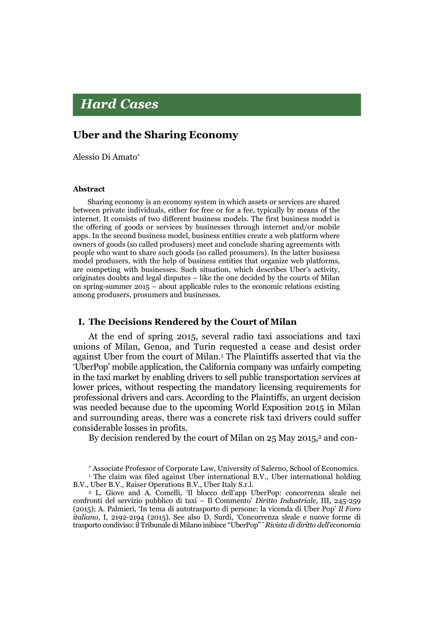# **Hard Cases**

# Uber and the Sharing Economy

Alessio Di Amato

#### Abstract

Sharing economy is an economy system in which assets or services are shared between private individuals, either for free or for a fee, typically by means of the internet. It consists of two different business models. The first business model is the offering of goods or services by businesses through internet and/or mobile apps. In the second business model, business entities create a web platform where owners of goods (so called produsers) meet and conclude sharing agreements with people who want to share such goods (so called prosumers). In the latter business model produsers, with the help of business entities that organize web platforms, are competing with businesses. Such situation, which describes Uber's activity, originates doubts and legal disputes – like the one decided by the courts of Milan on spring-summer  $2015 -$  about applicable rules to the economic relations existing among produsers, prosumers and businesses.

#### I. The Decisions Rendered by the Court of Milan

At the end of spring 2015, several radio taxi associations and taxi unions of Milan, Genoa, and Turin requested a cease and desist order against Uber from the court of Milan.1 The Plaintiffs asserted that via the 'UberPop' mobile application, the California company was unfairly competing in the taxi market by enabling drivers to sell public transportation services at lower prices, without respecting the mandatory licensing requirements for professional drivers and cars. According to the Plaintiffs, an urgent decision was needed because due to the upcoming World Exposition 2015 in Milan and surrounding areas, there was a concrete risk taxi drivers could suffer considerable losses in profits.

By decision rendered by the court of Milan on 25 May 2015,<sup>2</sup> and con-

Associate Professor of Corporate Law, University of Salerno, School of Economics.

<sup>1</sup> The claim was filed against Uber international B.V., Uber international holding B.V., Uber B.V., Raiser Operations B.V., Uber Italy S.r.l.

<sup>2</sup> L. Giove and A. Comelli, 'Il blocco dell'app UberPop: concorrenza sleale nei confronti del servizio pubblico di taxi – Il Commento' *Diritto Industriale*, III, 245-259 (2015); A. Palmieri, 'In tema di autotrasporto di persone: la vicenda di Uber Pop' *Il Foro italiano*, I, 2192-2194 (2015). See also D. Surdi, 'Concorrenza sleale e nuove forme di trasporto condiviso: il Tribunale di Milano inibisce "UberPop" ' *Rivista di diritto dell'economia*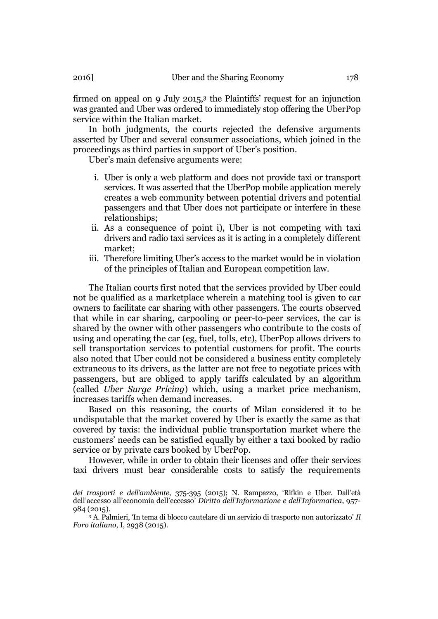firmed on appeal on 9 July 2015,<sup>3</sup> the Plaintiffs' request for an injunction was granted and Uber was ordered to immediately stop offering the UberPop service within the Italian market.

In both judgments, the courts rejected the defensive arguments asserted by Uber and several consumer associations, which joined in the proceedings as third parties in support of Uber's position.

Uber's main defensive arguments were:

- i. Uber is only a web platform and does not provide taxi or transport services. It was asserted that the UberPop mobile application merely creates a web community between potential drivers and potential passengers and that Uber does not participate or interfere in these relationships;
- ii. As a consequence of point i), Uber is not competing with taxi drivers and radio taxi services as it is acting in a completely different market;
- iii. Therefore limiting Uber's access to the market would be in violation of the principles of Italian and European competition law.

The Italian courts first noted that the services provided by Uber could not be qualified as a marketplace wherein a matching tool is given to car owners to facilitate car sharing with other passengers. The courts observed that while in car sharing, carpooling or peer-to-peer services, the car is shared by the owner with other passengers who contribute to the costs of using and operating the car (eg, fuel, tolls, etc), UberPop allows drivers to sell transportation services to potential customers for profit. The courts also noted that Uber could not be considered a business entity completely extraneous to its drivers, as the latter are not free to negotiate prices with passengers, but are obliged to apply tariffs calculated by an algorithm (called *Uber Surge Pricing*) which, using a market price mechanism, increases tariffs when demand increases.

Based on this reasoning, the courts of Milan considered it to be undisputable that the market covered by Uber is exactly the same as that covered by taxis: the individual public transportation market where the customers' needs can be satisfied equally by either a taxi booked by radio service or by private cars booked by UberPop.

However, while in order to obtain their licenses and offer their services taxi drivers must bear considerable costs to satisfy the requirements

<sup>3</sup> A. Palmieri, 'In tema di blocco cautelare di un servizio di trasporto non autorizzato' *Il Foro italiano*, I, 2938 (2015).

*dei trasporti e dell'ambiente*, 375-395 (2015); N. Rampazzo, 'Rifkin e Uber. Dall'età dell'accesso all'economia dell'eccesso' *Diritto dell'Informazione e dell'Informatica*, 957- 984 (2015).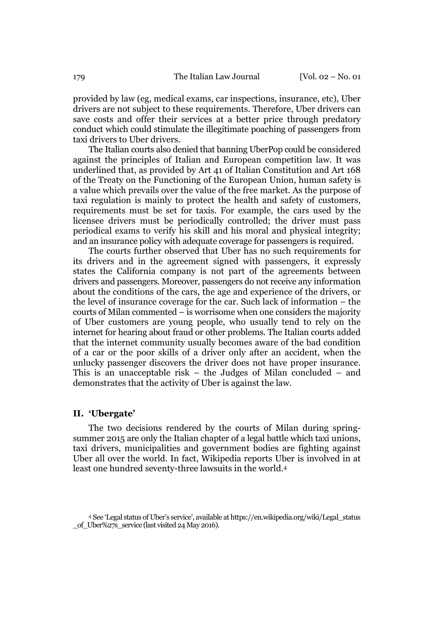provided by law (eg, medical exams, car inspections, insurance, etc), Uber drivers are not subject to these requirements. Therefore, Uber drivers can save costs and offer their services at a better price through predatory conduct which could stimulate the illegitimate poaching of passengers from taxi drivers to Uber drivers.

The Italian courts also denied that banning UberPop could be considered against the principles of Italian and European competition law. It was underlined that, as provided by Art 41 of Italian Constitution and Art 168 of the Treaty on the Functioning of the European Union, human safety is a value which prevails over the value of the free market. As the purpose of taxi regulation is mainly to protect the health and safety of customers, requirements must be set for taxis. For example, the cars used by the licensee drivers must be periodically controlled; the driver must pass periodical exams to verify his skill and his moral and physical integrity; and an insurance policy with adequate coverage for passengers is required.

The courts further observed that Uber has no such requirements for its drivers and in the agreement signed with passengers, it expressly states the California company is not part of the agreements between drivers and passengers. Moreover, passengers do not receive any information about the conditions of the cars, the age and experience of the drivers, or the level of insurance coverage for the car. Such lack of information – the courts of Milan commented – is worrisome when one considers the majority of Uber customers are young people, who usually tend to rely on the internet for hearing about fraud or other problems. The Italian courts added that the internet community usually becomes aware of the bad condition of a car or the poor skills of a driver only after an accident, when the unlucky passenger discovers the driver does not have proper insurance. This is an unacceptable risk – the Judges of Milan concluded – and demonstrates that the activity of Uber is against the law.

#### II. 'Ubergate'

The two decisions rendered by the courts of Milan during springsummer 2015 are only the Italian chapter of a legal battle which taxi unions, taxi drivers, municipalities and government bodies are fighting against Uber all over the world. In fact, Wikipedia reports Uber is involved in at least one hundred seventy-three lawsuits in the world.4

<sup>4</sup> See 'Legal status of Uber's service', available at https://en.wikipedia.org/wiki/Legal\_status of Uber%27s service (last visited 24 May 2016).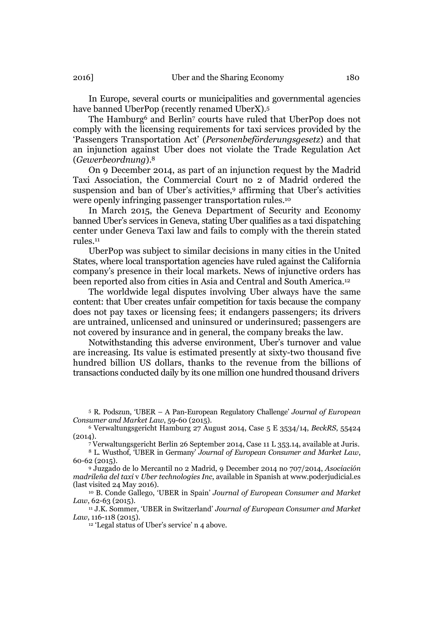In Europe, several courts or municipalities and governmental agencies have banned UberPop (recently renamed UberX).5

The Hamburg<sup>6</sup> and Berlin<sup>7</sup> courts have ruled that UberPop does not comply with the licensing requirements for taxi services provided by the 'Passengers Transportation Act' (*Personenbeförderungsgesetz*) and that an injunction against Uber does not violate the Trade Regulation Act (*Gewerbeordnung*).8

On 9 December 2014, as part of an injunction request by the Madrid Taxi Association, the Commercial Court no 2 of Madrid ordered the suspension and ban of Uber's activities,9 affirming that Uber's activities were openly infringing passenger transportation rules.10

In March 2015, the Geneva Department of Security and Economy banned Uber's services in Geneva, stating Uber qualifies as a taxi dispatching center under Geneva Taxi law and fails to comply with the therein stated rules.11

UberPop was subject to similar decisions in many cities in the United States, where local transportation agencies have ruled against the California company's presence in their local markets. News of injunctive orders has been reported also from cities in Asia and Central and South America.12

The worldwide legal disputes involving Uber always have the same content: that Uber creates unfair competition for taxis because the company does not pay taxes or licensing fees; it endangers passengers; its drivers are untrained, unlicensed and uninsured or underinsured; passengers are not covered by insurance and in general, the company breaks the law.

Notwithstanding this adverse environment, Uber's turnover and value are increasing. Its value is estimated presently at sixty-two thousand five hundred billion US dollars, thanks to the revenue from the billions of transactions conducted daily by its one million one hundred thousand drivers

<sup>5</sup> R. Podszun, 'UBER – A Pan-European Regulatory Challenge' *Journal of European Consumer and Market Law*, 59-60 (2015).

<sup>6</sup> Verwaltungsgericht Hamburg 27 August 2014, Case 5 E 3534/14, *BeckRS*, 55424  $(2014).$ 

<sup>7</sup> Verwaltungsgericht Berlin 26 September 2014, Case 11 L 353.14, available at Juris.

<sup>8</sup> L. Wusthof, 'UBER in Germany' *Journal of European Consumer and Market Law*, 60-62 (2015).

<sup>9</sup> Juzgado de lo Mercantil no 2 Madrid, 9 December 2014 no 707/2014, *Asociación madrileña del taxi* v *Uber technologies Inc*, available in Spanish at www.poderjudicial.es (last visited 24 May 2016).

<sup>10</sup> B. Conde Gallego, 'UBER in Spain' *Journal of European Consumer and Market Law*, 62-63 (2015).

<sup>11</sup> J.K. Sommer, 'UBER in Switzerland' *Journal of European Consumer and Market Law*, 116-118 (2015).

<sup>12</sup> 'Legal status of Uber's service' n 4 above.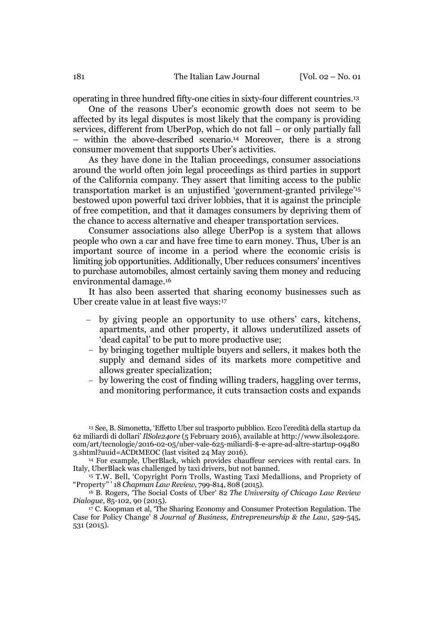operating in three hundred fifty-one cities in sixty-four different countries.13

One of the reasons Uber's economic growth does not seem to be affected by its legal disputes is most likely that the company is providing services, different from UberPop, which do not fall – or only partially fall – within the above-described scenario.14 Moreover, there is a strong consumer movement that supports Uber's activities.

As they have done in the Italian proceedings, consumer associations around the world often join legal proceedings as third parties in support of the California company. They assert that limiting access to the public transportation market is an unjustified 'government-granted privilege'15 bestowed upon powerful taxi driver lobbies, that it is against the principle of free competition, and that it damages consumers by depriving them of the chance to access alternative and cheaper transportation services.

Consumer associations also allege UberPop is a system that allows people who own a car and have free time to earn money. Thus, Uber is an important source of income in a period where the economic crisis is limiting job opportunities. Additionally, Uber reduces consumers' incentives to purchase automobiles, almost certainly saving them money and reducing environmental damage.16

It has also been asserted that sharing economy businesses such as Uber create value in at least five ways:17

- by giving people an opportunity to use others' cars, kitchens, apartments, and other property, it allows underutilized assets of 'dead capital' to be put to more productive use;
- by bringing together multiple buyers and sellers, it makes both the supply and demand sides of its markets more competitive and allows greater specialization;
- by lowering the cost of finding willing traders, haggling over terms, and monitoring performance, it cuts transaction costs and expands

<sup>14</sup> For example, UberBlack, which provides chauffeur services with rental cars. In Italy, UberBlack was challenged by taxi drivers, but not banned.

<sup>15</sup> T.W. Bell, 'Copyright Porn Trolls, Wasting Taxi Medallions, and Propriety of "Property" ' 18 *Chapman Law Review*, 799-814, 808 (2015).

<sup>16</sup> B. Rogers, 'The Social Costs of Uber' 82 *The University of Chicago Law Review Dialogue*, 85-102, 90 (2015).

<sup>17</sup> C. Koopman et al, 'The Sharing Economy and Consumer Protection Regulation. The Case for Policy Change' 8 *Journal of Business, Entrepreneurship & the Law*, 529-545, 531 (2015).

<sup>13</sup> See, B. Simonetta, 'Effetto Uber sul trasporto pubblico. Ecco l'eredità della startup da 62 miliardi di dollari' *IlSole24ore* (5 February 2016), available at http://www.ilsole24ore. com/art/tecnologie/2016-02-05/uber-vale-625-miliardi-\$-e-apre-ad-altre-startup-09480 3.shtml?uuid=ACDtMEOC (last visited 24 May 2016).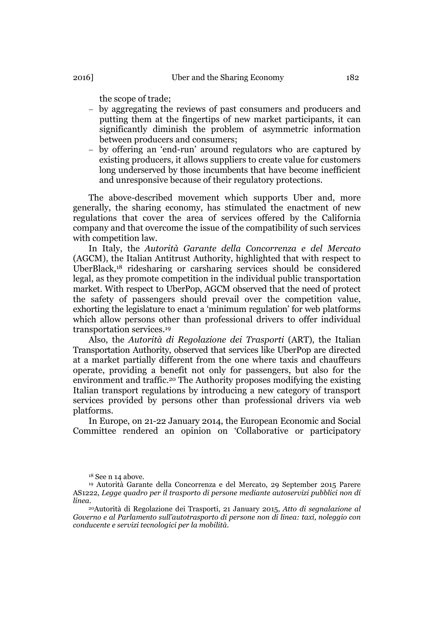the scope of trade;

- by aggregating the reviews of past consumers and producers and putting them at the fingertips of new market participants, it can significantly diminish the problem of asymmetric information between producers and consumers;
- by offering an 'end-run' around regulators who are captured by existing producers, it allows suppliers to create value for customers long underserved by those incumbents that have become inefficient and unresponsive because of their regulatory protections.

The above-described movement which supports Uber and, more generally, the sharing economy, has stimulated the enactment of new regulations that cover the area of services offered by the California company and that overcome the issue of the compatibility of such services with competition law.

In Italy, the *Autorità Garante della Concorrenza e del Mercato* (AGCM), the Italian Antitrust Authority, highlighted that with respect to UberBlack,18 ridesharing or carsharing services should be considered legal, as they promote competition in the individual public transportation market. With respect to UberPop, AGCM observed that the need of protect the safety of passengers should prevail over the competition value, exhorting the legislature to enact a 'minimum regulation' for web platforms which allow persons other than professional drivers to offer individual transportation services.19

Also, the *Autorità di Regolazione dei Trasporti* (ART), the Italian Transportation Authority, observed that services like UberPop are directed at a market partially different from the one where taxis and chauffeurs operate, providing a benefit not only for passengers, but also for the environment and traffic.20 The Authority proposes modifying the existing Italian transport regulations by introducing a new category of transport services provided by persons other than professional drivers via web platforms.

In Europe, on 21-22 January 2014, the European Economic and Social Committee rendered an opinion on 'Collaborative or participatory

<sup>18</sup> See n 14 above.

<sup>19</sup> Autorità Garante della Concorrenza e del Mercato, 29 September 2015 Parere AS1222, *Legge quadro per il trasporto di persone mediante autoservizi pubblici non di linea*.

<sup>20</sup>Autorità di Regolazione dei Trasporti, 21 January 2015, *Atto di segnalazione al Governo e al Parlamento sull'autotrasporto di persone non di linea: taxi, noleggio con conducente e servizi tecnologici per la mobilità*.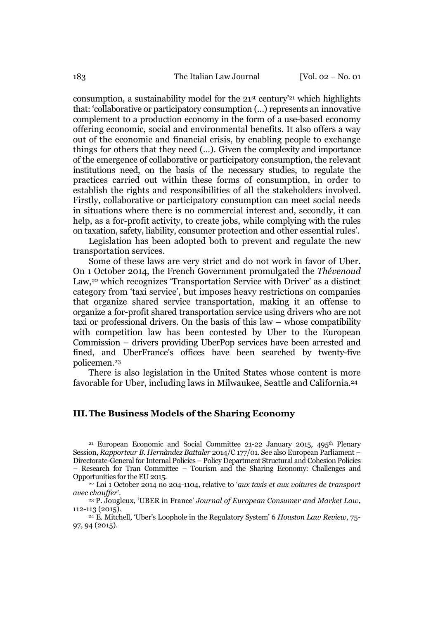consumption, a sustainability model for the  $21<sup>st</sup>$  century<sup>'21</sup> which highlights that: 'collaborative or participatory consumption (…) represents an innovative complement to a production economy in the form of a use-based economy offering economic, social and environmental benefits. It also offers a way out of the economic and financial crisis, by enabling people to exchange things for others that they need (…). Given the complexity and importance of the emergence of collaborative or participatory consumption, the relevant institutions need, on the basis of the necessary studies, to regulate the practices carried out within these forms of consumption, in order to establish the rights and responsibilities of all the stakeholders involved. Firstly, collaborative or participatory consumption can meet social needs in situations where there is no commercial interest and, secondly, it can help, as a for-profit activity, to create jobs, while complying with the rules on taxation, safety, liability, consumer protection and other essential rules'.

Legislation has been adopted both to prevent and regulate the new transportation services.

Some of these laws are very strict and do not work in favor of Uber. On 1 October 2014, the French Government promulgated the *Thévenoud* Law,<sup>22</sup> which recognizes 'Transportation Service with Driver' as a distinct category from 'taxi service', but imposes heavy restrictions on companies that organize shared service transportation, making it an offense to organize a for-profit shared transportation service using drivers who are not taxi or professional drivers. On the basis of this law – whose compatibility with competition law has been contested by Uber to the European Commission – drivers providing UberPop services have been arrested and fined, and UberFrance's offices have been searched by twenty-five policemen.23

There is also legislation in the United States whose content is more favorable for Uber, including laws in Milwaukee, Seattle and California.24

### III.The Business Models of the Sharing Economy

<sup>21</sup> European Economic and Social Committee 21-22 January 2015, 495<sup>th</sup> Plenary Session, *Rapporteur B. Hernàndez Battaler* 2014/C 177/01. See also European Parliament – Directorate-General for Internal Policies – Policy Department Structural and Cohesion Policies – Research for Tran Committee – Tourism and the Sharing Economy: Challenges and Opportunities for the EU 2015.

<sup>22</sup> Loi 1 October 2014 no 204-1104, relative to '*aux taxis et aux voitures de transport avec chauffer*'.

<sup>23</sup> P. Jougleux, 'UBER in France' *Journal of European Consumer and Market Law*, 112-113 (2015).

<sup>24</sup> E. Mitchell, 'Uber's Loophole in the Regulatory System' 6 *Houston Law Review*, 75- 97, 94 (2015).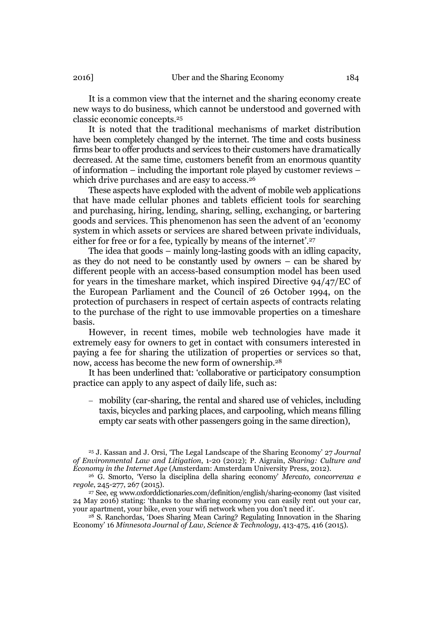It is a common view that the internet and the sharing economy create new ways to do business, which cannot be understood and governed with classic economic concepts.25

It is noted that the traditional mechanisms of market distribution have been completely changed by the internet. The time and costs business firms bear to offer products and services to their customers have dramatically decreased. At the same time, customers benefit from an enormous quantity of information – including the important role played by customer reviews – which drive purchases and are easy to access.<sup>26</sup>

These aspects have exploded with the advent of mobile web applications that have made cellular phones and tablets efficient tools for searching and purchasing, hiring, lending, sharing, selling, exchanging, or bartering goods and services. This phenomenon has seen the advent of an 'economy system in which assets or services are shared between private individuals, either for free or for a fee, typically by means of the internet'.27

The idea that goods – mainly long-lasting goods with an idling capacity, as they do not need to be constantly used by owners – can be shared by different people with an access-based consumption model has been used for years in the timeshare market, which inspired Directive 94/47/EC of the European Parliament and the Council of 26 October 1994, on the protection of purchasers in respect of certain aspects of contracts relating to the purchase of the right to use immovable properties on a timeshare basis.

However, in recent times, mobile web technologies have made it extremely easy for owners to get in contact with consumers interested in paying a fee for sharing the utilization of properties or services so that, now, access has become the new form of ownership.28

It has been underlined that: 'collaborative or participatory consumption practice can apply to any aspect of daily life, such as:

 mobility (car-sharing, the rental and shared use of vehicles, including taxis, bicycles and parking places, and carpooling, which means filling empty car seats with other passengers going in the same direction),

<sup>25</sup> J. Kassan and J. Orsi, 'The Legal Landscape of the Sharing Economy' 27 *Journal of Environmental Law and Litigation*, 1-20 (2012); P. Aigrain, *Sharing: Culture and Economy in the Internet Age* (Amsterdam: Amsterdam University Press, 2012).

<sup>26</sup> G. Smorto, 'Verso la disciplina della sharing economy' *Mercato, concorrenza e regole*, 245-277, 267 (2015).

<sup>27</sup> See, eg www.oxforddictionaries.com/definition/english/sharing-economy (last visited 24 May 2016) stating: 'thanks to the sharing economy you can easily rent out your car, your apartment, your bike, even your wifi network when you don't need it'.

<sup>28</sup> S. Ranchordas, 'Does Sharing Mean Caring? Regulating Innovation in the Sharing Economy' 16 *Minnesota Journal of Law, Science & Technology*, 413-475, 416 (2015).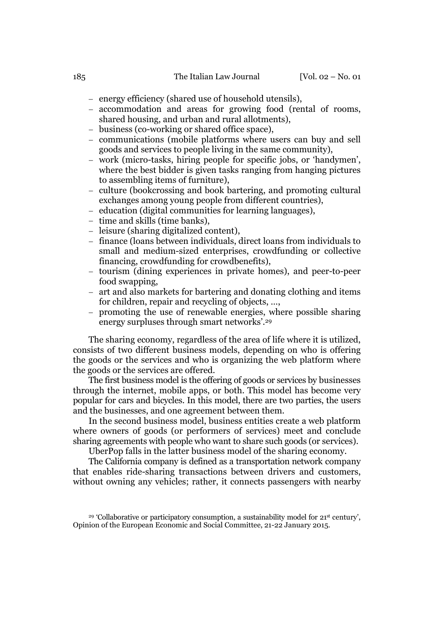- energy efficiency (shared use of household utensils),
- accommodation and areas for growing food (rental of rooms, shared housing, and urban and rural allotments),
- business (co-working or shared office space),
- communications (mobile platforms where users can buy and sell goods and services to people living in the same community),
- work (micro-tasks, hiring people for specific jobs, or 'handymen', where the best bidder is given tasks ranging from hanging pictures to assembling items of furniture),
- culture (bookcrossing and book bartering, and promoting cultural exchanges among young people from different countries),
- education (digital communities for learning languages),
- time and skills (time banks),
- leisure (sharing digitalized content),
- finance (loans between individuals, direct loans from individuals to small and medium-sized enterprises, crowdfunding or collective financing, crowdfunding for crowdbenefits),
- tourism (dining experiences in private homes), and peer-to-peer food swapping,
- art and also markets for bartering and donating clothing and items for children, repair and recycling of objects, …,
- promoting the use of renewable energies, where possible sharing energy surpluses through smart networks'.29

The sharing economy, regardless of the area of life where it is utilized, consists of two different business models, depending on who is offering the goods or the services and who is organizing the web platform where the goods or the services are offered.

The first business model is the offering of goods or services by businesses through the internet, mobile apps, or both. This model has become very popular for cars and bicycles. In this model, there are two parties, the users and the businesses, and one agreement between them.

In the second business model, business entities create a web platform where owners of goods (or performers of services) meet and conclude sharing agreements with people who want to share such goods (or services).

UberPop falls in the latter business model of the sharing economy.

The California company is defined as a transportation network company that enables ride-sharing transactions between drivers and customers, without owning any vehicles; rather, it connects passengers with nearby

<sup>29</sup> 'Collaborative or participatory consumption, a sustainability model for 21st century', Opinion of the European Economic and Social Committee, 21-22 January 2015.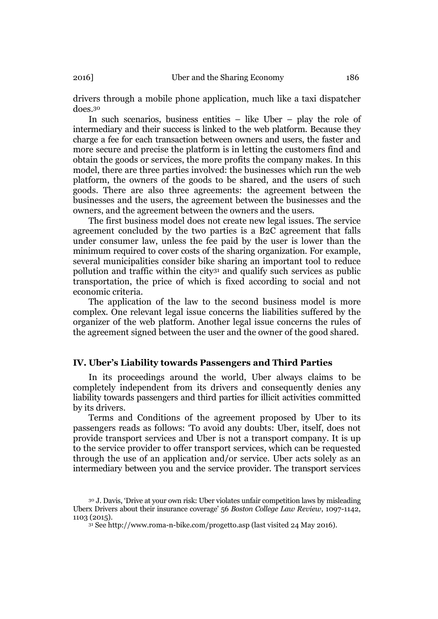drivers through a mobile phone application, much like a taxi dispatcher does.30

In such scenarios, business entities – like Uber – play the role of intermediary and their success is linked to the web platform. Because they charge a fee for each transaction between owners and users, the faster and more secure and precise the platform is in letting the customers find and obtain the goods or services, the more profits the company makes. In this model, there are three parties involved: the businesses which run the web platform, the owners of the goods to be shared, and the users of such goods. There are also three agreements: the agreement between the businesses and the users, the agreement between the businesses and the owners, and the agreement between the owners and the users.

The first business model does not create new legal issues. The service agreement concluded by the two parties is a B2C agreement that falls under consumer law, unless the fee paid by the user is lower than the minimum required to cover costs of the sharing organization. For example, several municipalities consider bike sharing an important tool to reduce pollution and traffic within the city31 and qualify such services as public transportation, the price of which is fixed according to social and not economic criteria.

The application of the law to the second business model is more complex. One relevant legal issue concerns the liabilities suffered by the organizer of the web platform. Another legal issue concerns the rules of the agreement signed between the user and the owner of the good shared.

#### IV. Uber's Liability towards Passengers and Third Parties

In its proceedings around the world, Uber always claims to be completely independent from its drivers and consequently denies any liability towards passengers and third parties for illicit activities committed by its drivers.

Terms and Conditions of the agreement proposed by Uber to its passengers reads as follows: 'To avoid any doubts: Uber, itself, does not provide transport services and Uber is not a transport company. It is up to the service provider to offer transport services, which can be requested through the use of an application and/or service. Uber acts solely as an intermediary between you and the service provider. The transport services

<sup>30</sup> J. Davis, 'Drive at your own risk: Uber violates unfair competition laws by misleading Uberx Drivers about their insurance coverage' 56 *Boston College Law Review*, 1097-1142, 1103 (2015).

<sup>31</sup> See http://www.roma-n-bike.com/progetto.asp (last visited 24 May 2016).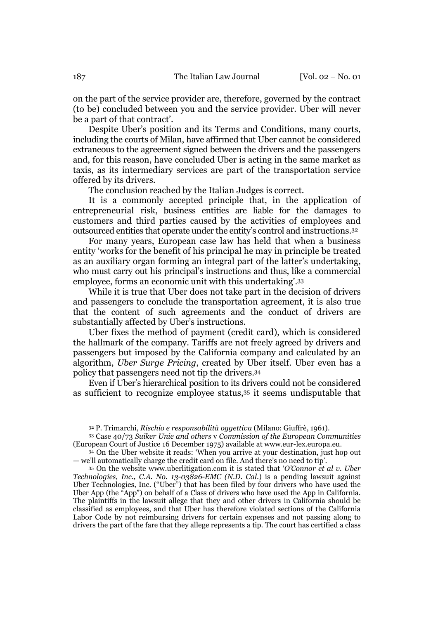on the part of the service provider are, therefore, governed by the contract (to be) concluded between you and the service provider. Uber will never be a part of that contract'.

Despite Uber's position and its Terms and Conditions, many courts, including the courts of Milan, have affirmed that Uber cannot be considered extraneous to the agreement signed between the drivers and the passengers and, for this reason, have concluded Uber is acting in the same market as taxis, as its intermediary services are part of the transportation service offered by its drivers.

The conclusion reached by the Italian Judges is correct.

It is a commonly accepted principle that, in the application of entrepreneurial risk, business entities are liable for the damages to customers and third parties caused by the activities of employees and outsourced entities that operate under the entity's control and instructions.32

For many years, European case law has held that when a business entity 'works for the benefit of his principal he may in principle be treated as an auxiliary organ forming an integral part of the latter's undertaking, who must carry out his principal's instructions and thus, like a commercial employee, forms an economic unit with this undertaking'.33

While it is true that Uber does not take part in the decision of drivers and passengers to conclude the transportation agreement, it is also true that the content of such agreements and the conduct of drivers are substantially affected by Uber's instructions.

Uber fixes the method of payment (credit card), which is considered the hallmark of the company. Tariffs are not freely agreed by drivers and passengers but imposed by the California company and calculated by an algorithm, *Uber Surge Pricing*, created by Uber itself. Uber even has a policy that passengers need not tip the drivers.34

Even if Uber's hierarchical position to its drivers could not be considered as sufficient to recognize employee status,35 it seems undisputable that

<sup>33</sup> Case 40/73 *Suiker Unie and others* v *Commission of the European Communities* (European Court of Justice 16 December 1975) available at www.eur-lex.europa.eu.

<sup>34</sup> On the Uber website it reads: 'When you arrive at your destination, just hop out — we'll automatically charge the credit card on file. And there's no need to tip'.

<sup>35</sup> On the website www.uberlitigation.com it is stated that '*O'Connor et al v. Uber Technologies, Inc., C.A. No. 13-03826-EMC (N.D. Cal.*) is a pending lawsuit against Uber Technologies, Inc. ("Uber") that has been filed by four drivers who have used the Uber App (the "App") on behalf of a Class of drivers who have used the App in California. The plaintiffs in the lawsuit allege that they and other drivers in California should be classified as employees, and that Uber has therefore violated sections of the California Labor Code by not reimbursing drivers for certain expenses and not passing along to drivers the part of the fare that they allege represents a tip. The court has certified a class

<sup>32</sup> P. Trimarchi, *Rischio e responsabilità oggettiva* (Milano: Giuffrè, 1961).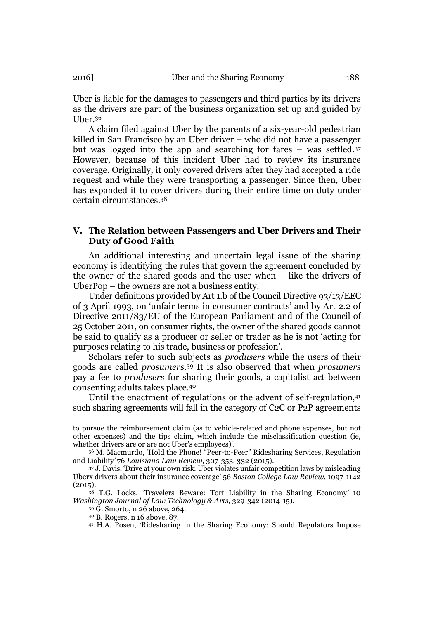Uber is liable for the damages to passengers and third parties by its drivers as the drivers are part of the business organization set up and guided by Uber.36

A claim filed against Uber by the parents of a six-year-old pedestrian killed in San Francisco by an Uber driver – who did not have a passenger but was logged into the app and searching for fares – was settled.37 However, because of this incident Uber had to review its insurance coverage. Originally, it only covered drivers after they had accepted a ride request and while they were transporting a passenger. Since then, Uber has expanded it to cover drivers during their entire time on duty under certain circumstances.38

## V. The Relation between Passengers and Uber Drivers and Their Duty of Good Faith

An additional interesting and uncertain legal issue of the sharing economy is identifying the rules that govern the agreement concluded by the owner of the shared goods and the user when – like the drivers of UberPop – the owners are not a business entity.

Under definitions provided by Art 1.b of the Council Directive 93/13/EEC of 3 April 1993, on 'unfair terms in consumer contracts' and by Art 2.2 of Directive 2011/83/EU of the European Parliament and of the Council of 25 October 2011, on consumer rights, the owner of the shared goods cannot be said to qualify as a producer or seller or trader as he is not 'acting for purposes relating to his trade, business or profession'.

Scholars refer to such subjects as *produsers* while the users of their goods are called *prosumers*.39 It is also observed that when *prosumers* pay a fee to *produsers* for sharing their goods, a capitalist act between consenting adults takes place.40

Until the enactment of regulations or the advent of self-regulation,41 such sharing agreements will fall in the category of C2C or P2P agreements

to pursue the reimbursement claim (as to vehicle-related and phone expenses, but not other expenses) and the tips claim, which include the misclassification question (ie, whether drivers are or are not Uber's employees)'.

<sup>36</sup> M. Macmurdo, 'Hold the Phone! <sup>"</sup>Peer-to-Peer" Ridesharing Services, Regulation and Liability*'* 76 *Louisiana Law Review*, 307-353, 332 (2015).

<sup>37</sup> J. Davis, 'Drive at your own risk: Uber violates unfair competition laws by misleading Uberx drivers about their insurance coverage' 56 *Boston College Law Review,* 1097-1142  $(2015).$ 

<sup>38</sup> T.G. Locks, 'Travelers Beware: Tort Liability in the Sharing Economy*'* 10 *Washington Journal of Law Technology & Arts*, 329-342 (2014-15).

<sup>39</sup> G. Smorto, n 26 above, 264.

<sup>40</sup> B. Rogers, n 16 above, 87.

<sup>41</sup> H.A. Posen, 'Ridesharing in the Sharing Economy: Should Regulators Impose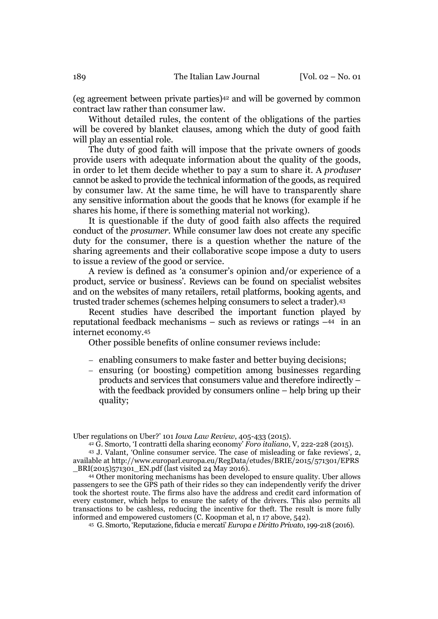(eg agreement between private parties)42 and will be governed by common contract law rather than consumer law.

Without detailed rules, the content of the obligations of the parties will be covered by blanket clauses, among which the duty of good faith will play an essential role.

The duty of good faith will impose that the private owners of goods provide users with adequate information about the quality of the goods, in order to let them decide whether to pay a sum to share it. A *produser* cannot be asked to provide the technical information of the goods, as required by consumer law. At the same time, he will have to transparently share any sensitive information about the goods that he knows (for example if he shares his home, if there is something material not working).

It is questionable if the duty of good faith also affects the required conduct of the *prosumer*. While consumer law does not create any specific duty for the consumer, there is a question whether the nature of the sharing agreements and their collaborative scope impose a duty to users to issue a review of the good or service.

A review is defined as 'a consumer's opinion and/or experience of a product, service or business'. Reviews can be found on specialist websites and on the websites of many retailers, retail platforms, booking agents, and trusted trader schemes (schemes helping consumers to select a trader).43

Recent studies have described the important function played by reputational feedback mechanisms – such as reviews or ratings –44 in an internet economy.45

Other possible benefits of online consumer reviews include:

- enabling consumers to make faster and better buying decisions;
- ensuring (or boosting) competition among businesses regarding products and services that consumers value and therefore indirectly – with the feedback provided by consumers online – help bring up their quality;

Uber regulations on Uber?' 101 *Iowa Law Review*, 405-433 (2015).

<sup>44</sup> Other monitoring mechanisms has been developed to ensure quality. Uber allows passengers to see the GPS path of their rides so they can independently verify the driver took the shortest route. The firms also have the address and credit card information of every customer, which helps to ensure the safety of the drivers. This also permits all transactions to be cashless, reducing the incentive for theft. The result is more fully informed and empowered customers (C. Koopman et al, n 17 above, 542).

<sup>45</sup> G. Smorto, 'Reputazione, fiducia e mercati' *Europa e Diritto Privato*, 199-218 (2016).

<sup>42</sup> G. Smorto, 'I contratti della sharing economy' *Foro italiano*, V, 222-228 (2015). <sup>43</sup> J. Valant, 'Online consumer service. The case of misleading or fake reviews', 2, available at http://www.europarl.europa.eu/RegData/etudes/BRIE/2015/571301/EPRS \_BRI(2015)571301\_EN.pdf (last visited 24 May 2016).